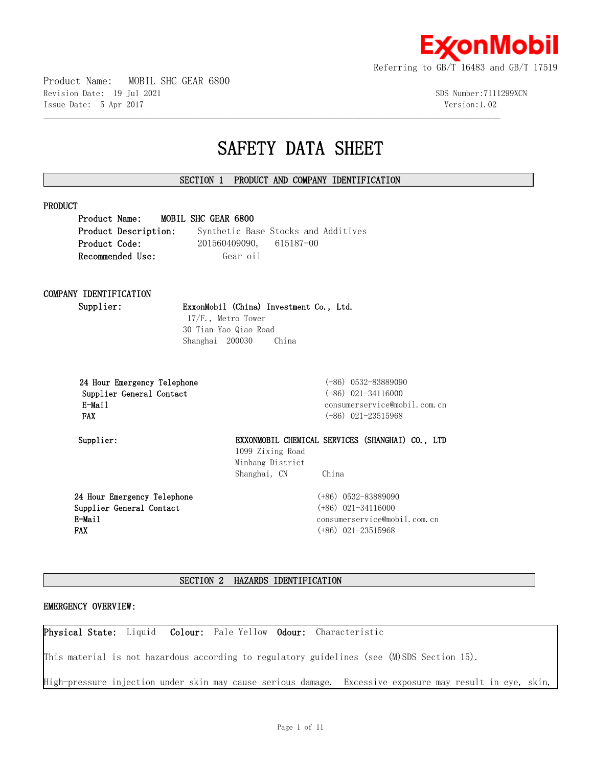

Product Name: MOBIL SHC GEAR 6800 Revision Date: 19 Jul 2021 SDS Number:7111299XCN Issue Date: 5 Apr 2017 Version:1.02

# **SAFETY DATA SHEET**

# **SECTION 1 PRODUCT AND COMPANY IDENTIFICATION**

 $\mathcal{L} = \{ \mathcal{L} = \{ \mathcal{L} = \{ \mathcal{L} = \{ \mathcal{L} = \{ \mathcal{L} = \{ \mathcal{L} = \{ \mathcal{L} = \{ \mathcal{L} = \{ \mathcal{L} = \{ \mathcal{L} = \{ \mathcal{L} = \{ \mathcal{L} = \{ \mathcal{L} = \{ \mathcal{L} = \{ \mathcal{L} = \{ \mathcal{L} = \{ \mathcal{L} = \{ \mathcal{L} = \{ \mathcal{L} = \{ \mathcal{L} = \{ \mathcal{L} = \{ \mathcal{L} = \{ \mathcal{L} = \{ \mathcal{$ 

|               | Product Name: MOBIL SHC GEAR 6800 |  |          |                           |                                     |
|---------------|-----------------------------------|--|----------|---------------------------|-------------------------------------|
|               | Product Description:              |  |          |                           | Synthetic Base Stocks and Additives |
| Product Code: |                                   |  |          | $201560409090, 615187-00$ |                                     |
|               | Recommended Use:                  |  | Gear oil |                           |                                     |
|               |                                   |  |          |                           |                                     |
|               |                                   |  |          |                           |                                     |

# **COMPANY IDENTIFICATION**

## **Supplier: ExxonMobil (China) Investment Co., Ltd.**

17/F., Metro Tower 30 Tian Yao Qiao Road Shanghai 200030 China

| 24 Hour Emergency Telephone |
|-----------------------------|
| Supplier General Contact    |
| E-Mail                      |
| <b>FAX</b>                  |
|                             |

 **24 Hour Emergency Telephone** (+86) 0532-83889090  **Supplier General Contact** (+86) 021-34116000 consumerservice@mobil.com.cn  **FAX** (+86) 021-23515968

# **Supplier: EXXONMOBIL CHEMICAL SERVICES (SHANGHAI) CO., LTD**  1099 Zixing Road Minhang District Shanghai, CN China

**24 Hour Emergency Telephone Supplier General Contact E-Mail FAX**

(+86) 0532-83889090 (+86) 021-34116000 consumerservice@mobil.com.cn (+86) 021-23515968

# **SECTION 2 HAZARDS IDENTIFICATION**

## **EMERGENCY OVERVIEW:**

**Physical State:** Liquid **Colour:** Pale Yellow **Odour:** Characteristic

This material is not hazardous according to regulatory guidelines (see (M)SDS Section 15).

High-pressure injection under skin may cause serious damage. Excessive exposure may result in eye, skin,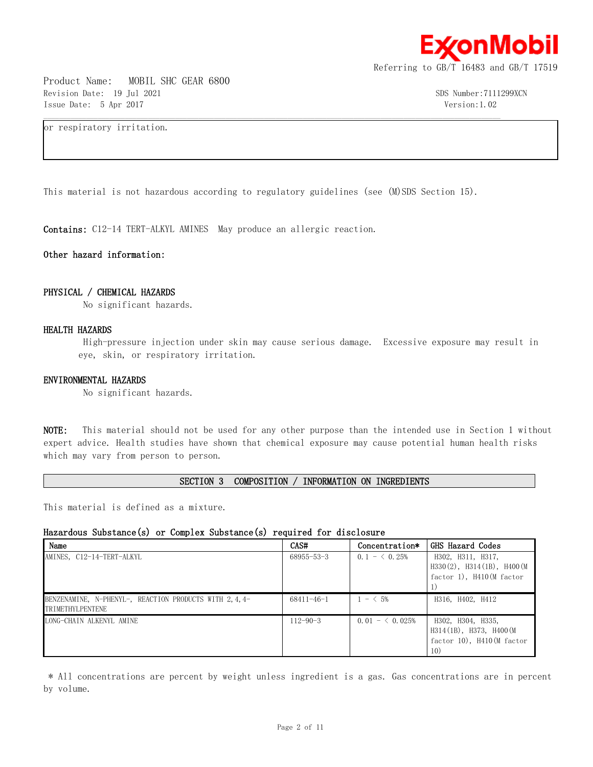

Product Name: MOBIL SHC GEAR 6800 Revision Date: 19 Jul 2021 SDS Number:7111299XCN Issue Date: 5 Apr 2017 Version:1.02

or respiratory irritation.

This material is not hazardous according to regulatory guidelines (see (M)SDS Section 15).

 $\mathcal{L} = \{ \mathcal{L} = \{ \mathcal{L} = \{ \mathcal{L} = \{ \mathcal{L} = \{ \mathcal{L} = \{ \mathcal{L} = \{ \mathcal{L} = \{ \mathcal{L} = \{ \mathcal{L} = \{ \mathcal{L} = \{ \mathcal{L} = \{ \mathcal{L} = \{ \mathcal{L} = \{ \mathcal{L} = \{ \mathcal{L} = \{ \mathcal{L} = \{ \mathcal{L} = \{ \mathcal{L} = \{ \mathcal{L} = \{ \mathcal{L} = \{ \mathcal{L} = \{ \mathcal{L} = \{ \mathcal{L} = \{ \mathcal{$ 

**Contains:** C12-14 TERT-ALKYL AMINES May produce an allergic reaction.

## **Other hazard information:**

## **PHYSICAL / CHEMICAL HAZARDS**

No significant hazards.

## **HEALTH HAZARDS**

High-pressure injection under skin may cause serious damage. Excessive exposure may result in eye, skin, or respiratory irritation.

## **ENVIRONMENTAL HAZARDS**

No significant hazards.

**NOTE:** This material should not be used for any other purpose than the intended use in Section 1 without expert advice. Health studies have shown that chemical exposure may cause potential human health risks which may vary from person to person.

**SECTION 3 COMPOSITION / INFORMATION ON INGREDIENTS**

This material is defined as a mixture.

## **Hazardous Substance(s) or Complex Substance(s) required for disclosure**

| Name                                                                      | CAS#             | Concentration*  | GHS Hazard Codes                                                                      |
|---------------------------------------------------------------------------|------------------|-----------------|---------------------------------------------------------------------------------------|
| AMINES, C12-14-TERT-ALKYL                                                 | $68955 - 53 - 3$ | $0.1 - 6.25\%$  | H302, H311, H317,<br>$H330(2)$ , $H314(1B)$ , $H400(M)$<br>factor $1$ , H410(M factor |
| BENZENAMINE, N-PHENYL-, REACTION PRODUCTS WITH 2,4,4-<br>TRIMETHYLPENTENE | $68411 - 46 - 1$ | $1 - 5\%$       | H316, H402, H412                                                                      |
| LONG-CHAIN ALKENYL AMINE                                                  | $112 - 90 - 3$   | $0.01 - 6.025%$ | H302, H304, H335,<br>H314(1B), H373, H400(M<br>factor 10), H410(M factor<br>10)       |

\* All concentrations are percent by weight unless ingredient is a gas. Gas concentrations are in percent by volume.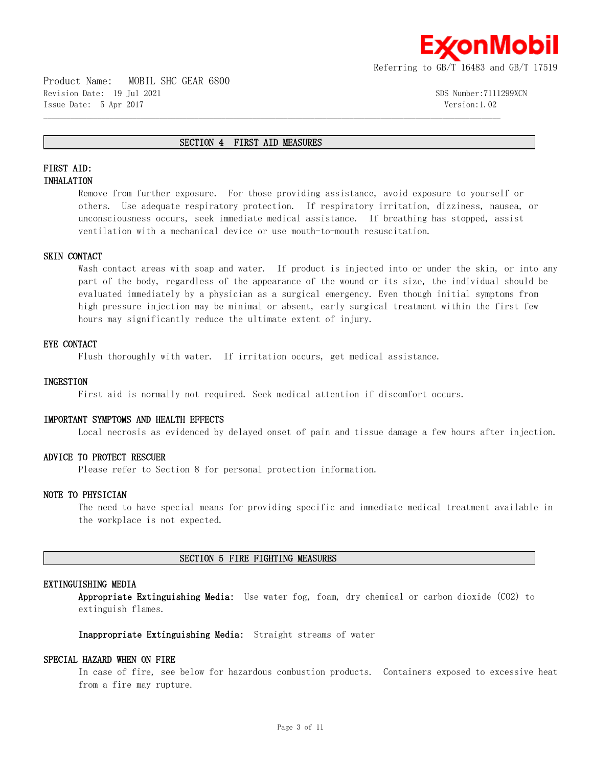

Product Name: MOBIL SHC GEAR 6800 Revision Date: 19 Jul 2021 SDS Number:7111299XCN Issue Date: 5 Apr 2017 Version:1.02

#### **SECTION 4 FIRST AID MEASURES**

 $\mathcal{L} = \{ \mathcal{L} = \{ \mathcal{L} = \{ \mathcal{L} = \{ \mathcal{L} = \{ \mathcal{L} = \{ \mathcal{L} = \{ \mathcal{L} = \{ \mathcal{L} = \{ \mathcal{L} = \{ \mathcal{L} = \{ \mathcal{L} = \{ \mathcal{L} = \{ \mathcal{L} = \{ \mathcal{L} = \{ \mathcal{L} = \{ \mathcal{L} = \{ \mathcal{L} = \{ \mathcal{L} = \{ \mathcal{L} = \{ \mathcal{L} = \{ \mathcal{L} = \{ \mathcal{L} = \{ \mathcal{L} = \{ \mathcal{$ 

# **FIRST AID: INHALATION**

Remove from further exposure. For those providing assistance, avoid exposure to yourself or others. Use adequate respiratory protection. If respiratory irritation, dizziness, nausea, or unconsciousness occurs, seek immediate medical assistance. If breathing has stopped, assist ventilation with a mechanical device or use mouth-to-mouth resuscitation.

## **SKIN CONTACT**

Wash contact areas with soap and water. If product is injected into or under the skin, or into any part of the body, regardless of the appearance of the wound or its size, the individual should be evaluated immediately by a physician as a surgical emergency. Even though initial symptoms from high pressure injection may be minimal or absent, early surgical treatment within the first few hours may significantly reduce the ultimate extent of injury.

## **EYE CONTACT**

Flush thoroughly with water. If irritation occurs, get medical assistance.

## **INGESTION**

First aid is normally not required. Seek medical attention if discomfort occurs.

## **IMPORTANT SYMPTOMS AND HEALTH EFFECTS**

Local necrosis as evidenced by delayed onset of pain and tissue damage a few hours after injection.

## **ADVICE TO PROTECT RESCUER**

Please refer to Section 8 for personal protection information.

## **NOTE TO PHYSICIAN**

The need to have special means for providing specific and immediate medical treatment available in the workplace is not expected.

## **SECTION 5 FIRE FIGHTING MEASURES**

## **EXTINGUISHING MEDIA**

**Appropriate Extinguishing Media:** Use water fog, foam, dry chemical or carbon dioxide (CO2) to extinguish flames.

**Inappropriate Extinguishing Media:** Straight streams of water

## **SPECIAL HAZARD WHEN ON FIRE**

In case of fire, see below for hazardous combustion products. Containers exposed to excessive heat from a fire may rupture.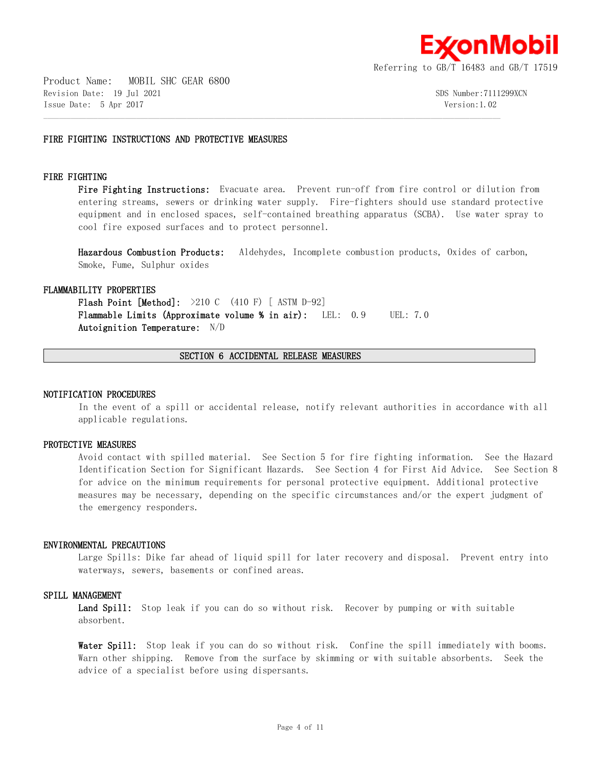

## **FIRE FIGHTING INSTRUCTIONS AND PROTECTIVE MEASURES**

## **FIRE FIGHTING**

**Fire Fighting Instructions:** Evacuate area. Prevent run-off from fire control or dilution from entering streams, sewers or drinking water supply. Fire-fighters should use standard protective equipment and in enclosed spaces, self-contained breathing apparatus (SCBA). Use water spray to cool fire exposed surfaces and to protect personnel.

**Hazardous Combustion Products:** Aldehydes, Incomplete combustion products, Oxides of carbon, Smoke, Fume, Sulphur oxides

#### **FLAMMABILITY PROPERTIES**

**Flash Point [Method]:** >210 C (410 F) [ ASTM D-92] **Flammable Limits (Approximate volume % in air):** LEL: 0.9 UEL: 7.0 **Autoignition Temperature:** N/D

## **SECTION 6 ACCIDENTAL RELEASE MEASURES**

 $\mathcal{L} = \{ \mathcal{L} = \{ \mathcal{L} = \{ \mathcal{L} = \{ \mathcal{L} = \{ \mathcal{L} = \{ \mathcal{L} = \{ \mathcal{L} = \{ \mathcal{L} = \{ \mathcal{L} = \{ \mathcal{L} = \{ \mathcal{L} = \{ \mathcal{L} = \{ \mathcal{L} = \{ \mathcal{L} = \{ \mathcal{L} = \{ \mathcal{L} = \{ \mathcal{L} = \{ \mathcal{L} = \{ \mathcal{L} = \{ \mathcal{L} = \{ \mathcal{L} = \{ \mathcal{L} = \{ \mathcal{L} = \{ \mathcal{$ 

#### **NOTIFICATION PROCEDURES**

In the event of a spill or accidental release, notify relevant authorities in accordance with all applicable regulations.

## **PROTECTIVE MEASURES**

Avoid contact with spilled material. See Section 5 for fire fighting information. See the Hazard Identification Section for Significant Hazards. See Section 4 for First Aid Advice. See Section 8 for advice on the minimum requirements for personal protective equipment. Additional protective measures may be necessary, depending on the specific circumstances and/or the expert judgment of the emergency responders.

#### **ENVIRONMENTAL PRECAUTIONS**

Large Spills: Dike far ahead of liquid spill for later recovery and disposal. Prevent entry into waterways, sewers, basements or confined areas.

#### **SPILL MANAGEMENT**

Land Spill: Stop leak if you can do so without risk. Recover by pumping or with suitable absorbent.

**Water Spill:** Stop leak if you can do so without risk. Confine the spill immediately with booms. Warn other shipping. Remove from the surface by skimming or with suitable absorbents. Seek the advice of a specialist before using dispersants.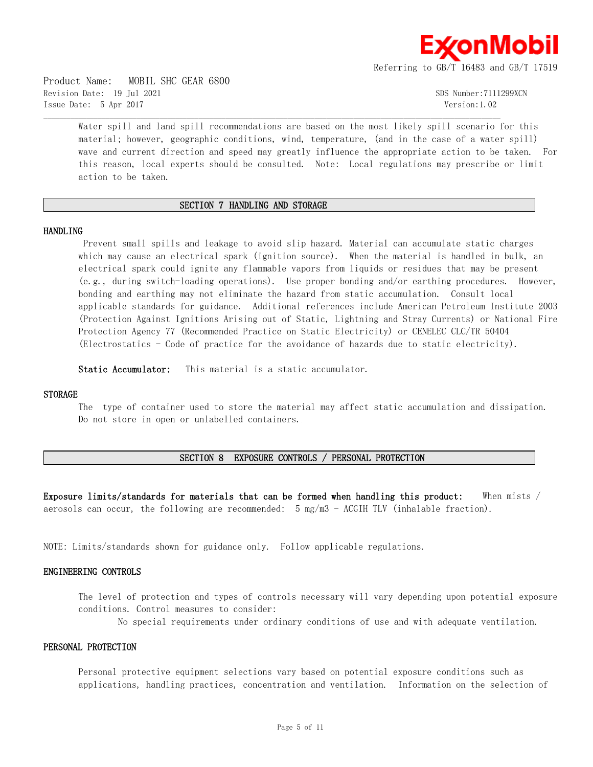

Product Name: MOBIL SHC GEAR 6800 Revision Date: 19 Jul 2021 SDS Number:7111299XCN Issue Date: 5 Apr 2017 Version:1.02

Water spill and land spill recommendations are based on the most likely spill scenario for this material; however, geographic conditions, wind, temperature, (and in the case of a water spill) wave and current direction and speed may greatly influence the appropriate action to be taken. For this reason, local experts should be consulted. Note: Local regulations may prescribe or limit action to be taken.

## **SECTION 7 HANDLING AND STORAGE**

 $\mathcal{L} = \{ \mathcal{L} = \{ \mathcal{L} = \{ \mathcal{L} = \{ \mathcal{L} = \{ \mathcal{L} = \{ \mathcal{L} = \{ \mathcal{L} = \{ \mathcal{L} = \{ \mathcal{L} = \{ \mathcal{L} = \{ \mathcal{L} = \{ \mathcal{L} = \{ \mathcal{L} = \{ \mathcal{L} = \{ \mathcal{L} = \{ \mathcal{L} = \{ \mathcal{L} = \{ \mathcal{L} = \{ \mathcal{L} = \{ \mathcal{L} = \{ \mathcal{L} = \{ \mathcal{L} = \{ \mathcal{L} = \{ \mathcal{$ 

#### **HANDLING**

Prevent small spills and leakage to avoid slip hazard. Material can accumulate static charges which may cause an electrical spark (ignition source). When the material is handled in bulk, an electrical spark could ignite any flammable vapors from liquids or residues that may be present (e.g., during switch-loading operations). Use proper bonding and/or earthing procedures. However, bonding and earthing may not eliminate the hazard from static accumulation. Consult local applicable standards for guidance. Additional references include American Petroleum Institute 2003 (Protection Against Ignitions Arising out of Static, Lightning and Stray Currents) or National Fire Protection Agency 77 (Recommended Practice on Static Electricity) or CENELEC CLC/TR 50404 (Electrostatics - Code of practice for the avoidance of hazards due to static electricity).

**Static Accumulator:** This material is a static accumulator.

## **STORAGE**

The type of container used to store the material may affect static accumulation and dissipation. Do not store in open or unlabelled containers.

## **SECTION 8 EXPOSURE CONTROLS / PERSONAL PROTECTION**

**Exposure limits/standards for materials that can be formed when handling this product:** When mists / aerosols can occur, the following are recommended: 5 mg/m3 - ACGIH TLV (inhalable fraction).

NOTE: Limits/standards shown for guidance only. Follow applicable regulations.

## **ENGINEERING CONTROLS**

The level of protection and types of controls necessary will vary depending upon potential exposure conditions. Control measures to consider:

No special requirements under ordinary conditions of use and with adequate ventilation.

#### **PERSONAL PROTECTION**

Personal protective equipment selections vary based on potential exposure conditions such as applications, handling practices, concentration and ventilation. Information on the selection of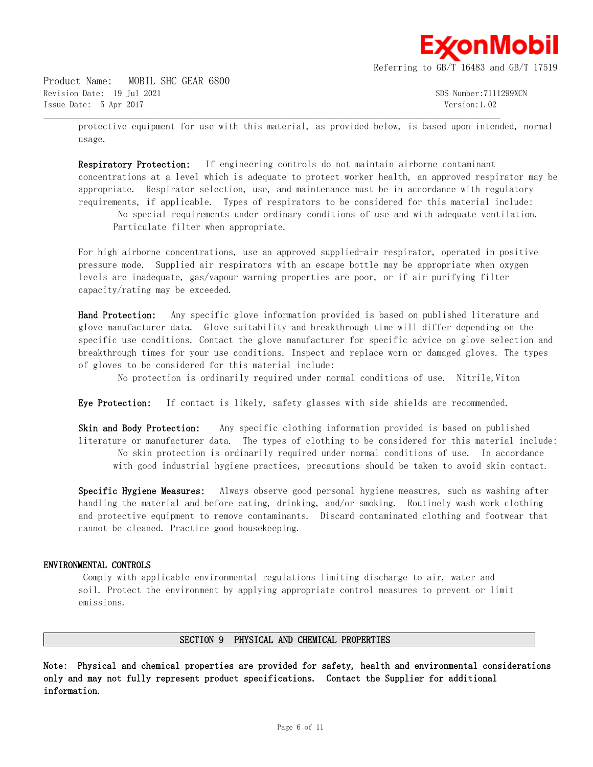

Product Name: MOBIL SHC GEAR 6800 Revision Date: 19 Jul 2021 SDS Number:7111299XCN Issue Date: 5 Apr 2017 Version:1.02

protective equipment for use with this material, as provided below, is based upon intended, normal usage.

 $\mathcal{L} = \{ \mathcal{L} = \{ \mathcal{L} = \{ \mathcal{L} = \{ \mathcal{L} = \{ \mathcal{L} = \{ \mathcal{L} = \{ \mathcal{L} = \{ \mathcal{L} = \{ \mathcal{L} = \{ \mathcal{L} = \{ \mathcal{L} = \{ \mathcal{L} = \{ \mathcal{L} = \{ \mathcal{L} = \{ \mathcal{L} = \{ \mathcal{L} = \{ \mathcal{L} = \{ \mathcal{L} = \{ \mathcal{L} = \{ \mathcal{L} = \{ \mathcal{L} = \{ \mathcal{L} = \{ \mathcal{L} = \{ \mathcal{$ 

**Respiratory Protection:** If engineering controls do not maintain airborne contaminant concentrations at a level which is adequate to protect worker health, an approved respirator may be appropriate. Respirator selection, use, and maintenance must be in accordance with regulatory requirements, if applicable. Types of respirators to be considered for this material include:

No special requirements under ordinary conditions of use and with adequate ventilation. Particulate filter when appropriate.

For high airborne concentrations, use an approved supplied-air respirator, operated in positive pressure mode. Supplied air respirators with an escape bottle may be appropriate when oxygen levels are inadequate, gas/vapour warning properties are poor, or if air purifying filter capacity/rating may be exceeded.

**Hand Protection:** Any specific glove information provided is based on published literature and glove manufacturer data. Glove suitability and breakthrough time will differ depending on the specific use conditions. Contact the glove manufacturer for specific advice on glove selection and breakthrough times for your use conditions. Inspect and replace worn or damaged gloves. The types of gloves to be considered for this material include:

No protection is ordinarily required under normal conditions of use. Nitrile, Viton

**Eye Protection:** If contact is likely, safety glasses with side shields are recommended.

**Skin and Body Protection:** Any specific clothing information provided is based on published literature or manufacturer data. The types of clothing to be considered for this material include: No skin protection is ordinarily required under normal conditions of use. In accordance with good industrial hygiene practices, precautions should be taken to avoid skin contact.

**Specific Hygiene Measures:** Always observe good personal hygiene measures, such as washing after handling the material and before eating, drinking, and/or smoking. Routinely wash work clothing and protective equipment to remove contaminants. Discard contaminated clothing and footwear that cannot be cleaned. Practice good housekeeping.

## **ENVIRONMENTAL CONTROLS**

Comply with applicable environmental regulations limiting discharge to air, water and soil. Protect the environment by applying appropriate control measures to prevent or limit emissions.

## **SECTION 9 PHYSICAL AND CHEMICAL PROPERTIES**

**Note: Physical and chemical properties are provided for safety, health and environmental considerations only and may not fully represent product specifications. Contact the Supplier for additional information.**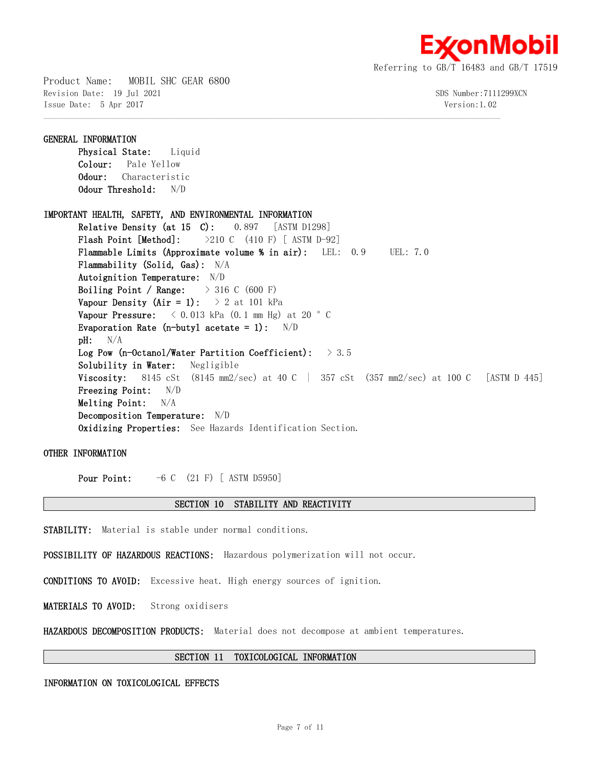

Product Name: MOBIL SHC GEAR 6800 Revision Date: 19 Jul 2021 305 Number:7111299XCN Issue Date: 5 Apr 2017 Version:1.02

**GENERAL INFORMATION Physical State:** Liquid **Colour:** Pale Yellow **Odour:** Characteristic **Odour Threshold:** N/D **IMPORTANT HEALTH, SAFETY, AND ENVIRONMENTAL INFORMATION Relative Density (at 15 C):** 0.897 [ASTM D1298] **Flash Point [Method]:** >210 C (410 F) [ ASTM D-92] **Flammable Limits (Approximate volume % in air):** LEL: 0.9 UEL: 7.0 **Flammability (Solid, Gas):** N/A **Autoignition Temperature:** N/D **Boiling Point / Range:** > 316 C (600 F) **Vapour Density (Air = 1):**  $> 2$  at 101 kPa **Vapour Pressure:** < 0.013 kPa (0.1 mm Hg) at 20 °C **Evaporation Rate (n-butyl acetate = 1):** N/D **pH:** N/A **Log Pow (n-Octanol/Water Partition Coefficient):** > 3.5 **Solubility in Water:** Negligible **Viscosity:** 8145 cSt (8145 mm2/sec) at 40 C | 357 cSt (357 mm2/sec) at 100 C [ASTM D 445] **Freezing Point:** N/D **Melting Point:** N/A **Decomposition Temperature:** N/D **Oxidizing Properties:** See Hazards Identification Section.

 $\mathcal{L} = \{ \mathcal{L} = \{ \mathcal{L} = \{ \mathcal{L} = \{ \mathcal{L} = \{ \mathcal{L} = \{ \mathcal{L} = \{ \mathcal{L} = \{ \mathcal{L} = \{ \mathcal{L} = \{ \mathcal{L} = \{ \mathcal{L} = \{ \mathcal{L} = \{ \mathcal{L} = \{ \mathcal{L} = \{ \mathcal{L} = \{ \mathcal{L} = \{ \mathcal{L} = \{ \mathcal{L} = \{ \mathcal{L} = \{ \mathcal{L} = \{ \mathcal{L} = \{ \mathcal{L} = \{ \mathcal{L} = \{ \mathcal{$ 

**OTHER INFORMATION**

**Pour Point:**  $-6$  C (21 F) [ ASTM D5950]

#### **SECTION 10 STABILITY AND REACTIVITY**

**STABILITY:** Material is stable under normal conditions.

**POSSIBILITY OF HAZARDOUS REACTIONS:** Hazardous polymerization will not occur.

**CONDITIONS TO AVOID:** Excessive heat. High energy sources of ignition.

**MATERIALS TO AVOID:** Strong oxidisers

**HAZARDOUS DECOMPOSITION PRODUCTS:** Material does not decompose at ambient temperatures.

## **SECTION 11 TOXICOLOGICAL INFORMATION**

## **INFORMATION ON TOXICOLOGICAL EFFECTS**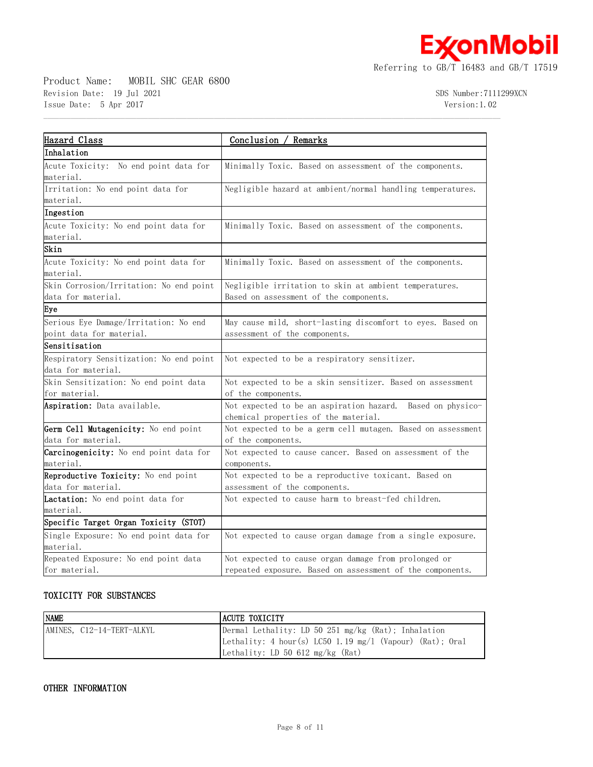**ExconMobil** 

Referring to GB/T 16483 and GB/T 17519

Product Name: MOBIL SHC GEAR 6800 Revision Date: 19 Jul 2021 3DS Number:7111299XCN Issue Date: 5 Apr 2017 Version:1.02

| Hazard Class                                  | Conclusion / Remarks                                        |
|-----------------------------------------------|-------------------------------------------------------------|
| Inhalation                                    |                                                             |
| Acute Toxicity: No end point data for         | Minimally Toxic. Based on assessment of the components.     |
| material.                                     |                                                             |
| Irritation: No end point data for             | Negligible hazard at ambient/normal handling temperatures.  |
| material.                                     |                                                             |
| Ingestion                                     |                                                             |
| Acute Toxicity: No end point data for         | Minimally Toxic. Based on assessment of the components.     |
| material.                                     |                                                             |
| Skin                                          |                                                             |
| Acute Toxicity: No end point data for         | Minimally Toxic. Based on assessment of the components.     |
| material.                                     |                                                             |
| Skin Corrosion/Irritation: No end point       | Negligible irritation to skin at ambient temperatures.      |
| data for material.                            | Based on assessment of the components.                      |
| Eye                                           |                                                             |
| Serious Eye Damage/Irritation: No end         | May cause mild, short-lasting discomfort to eyes. Based on  |
| point data for material.                      | assessment of the components.                               |
| Sensitisation                                 |                                                             |
| Respiratory Sensitization: No end point       | Not expected to be a respiratory sensitizer.                |
| data for material.                            |                                                             |
| Skin Sensitization: No end point data         | Not expected to be a skin sensitizer. Based on assessment   |
| for material.                                 | of the components.                                          |
| Aspiration: Data available.                   | Not expected to be an aspiration hazard. Based on physico-  |
|                                               | chemical properties of the material.                        |
| Germ Cell Mutagenicity: No end point          | Not expected to be a germ cell mutagen. Based on assessment |
| data for material.                            | of the components.                                          |
| <b>Carcinogenicity:</b> No end point data for | Not expected to cause cancer. Based on assessment of the    |
| material.                                     | components.                                                 |
| Reproductive Toxicity: No end point           | Not expected to be a reproductive toxicant. Based on        |
| data for material.                            | assessment of the components.                               |
| Lactation: No end point data for              | Not expected to cause harm to breast-fed children.          |
| material.                                     |                                                             |
| Specific Target Organ Toxicity (STOT)         |                                                             |
| Single Exposure: No end point data for        | Not expected to cause organ damage from a single exposure.  |
| material.                                     |                                                             |
| Repeated Exposure: No end point data          | Not expected to cause organ damage from prolonged or        |
| for material.                                 | repeated exposure. Based on assessment of the components.   |

 $\mathcal{L} = \{ \mathcal{L} = \{ \mathcal{L} = \{ \mathcal{L} = \{ \mathcal{L} = \{ \mathcal{L} = \{ \mathcal{L} = \{ \mathcal{L} = \{ \mathcal{L} = \{ \mathcal{L} = \{ \mathcal{L} = \{ \mathcal{L} = \{ \mathcal{L} = \{ \mathcal{L} = \{ \mathcal{L} = \{ \mathcal{L} = \{ \mathcal{L} = \{ \mathcal{L} = \{ \mathcal{L} = \{ \mathcal{L} = \{ \mathcal{L} = \{ \mathcal{L} = \{ \mathcal{L} = \{ \mathcal{L} = \{ \mathcal{$ 

# **TOXICITY FOR SUBSTANCES**

| <b>NAME</b>               | LACUTE TOXICITY                                            |
|---------------------------|------------------------------------------------------------|
| AMINES, C12-14-TERT-ALKYL | Dermal Lethality: LD 50 251 mg/kg (Rat); Inhalation        |
|                           | Lethality: 4 hour(s) LC50 1.19 $mg/1$ (Vapour) (Rat); Oral |
|                           | Lethality: LD 50 612 $mg/kg$ (Rat)                         |

# **OTHER INFORMATION**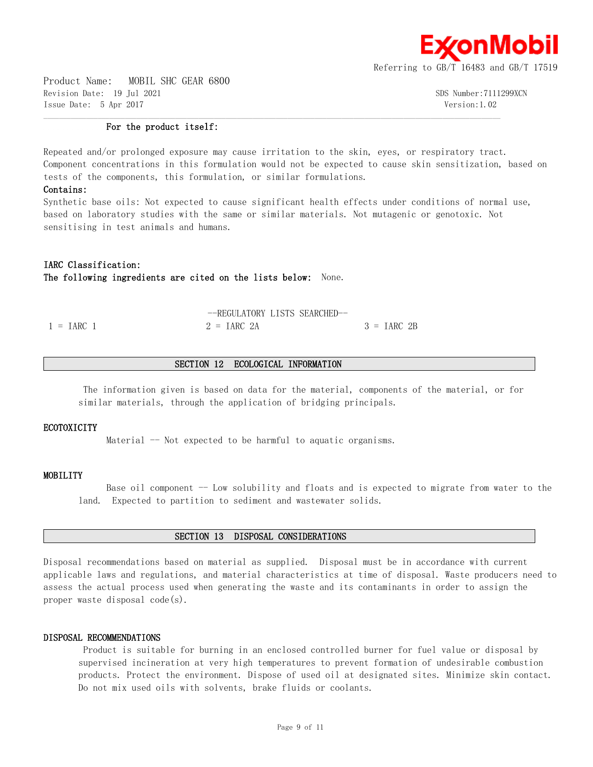

Product Name: MOBIL SHC GEAR 6800 Revision Date: 19 Jul 2021 SDS Number:7111299XCN Issue Date: 5 Apr 2017 Version:1.02

#### **For the product itself:**

Repeated and/or prolonged exposure may cause irritation to the skin, eyes, or respiratory tract. Component concentrations in this formulation would not be expected to cause skin sensitization, based on tests of the components, this formulation, or similar formulations.

 $\mathcal{L} = \{ \mathcal{L} = \{ \mathcal{L} = \{ \mathcal{L} = \{ \mathcal{L} = \{ \mathcal{L} = \{ \mathcal{L} = \{ \mathcal{L} = \{ \mathcal{L} = \{ \mathcal{L} = \{ \mathcal{L} = \{ \mathcal{L} = \{ \mathcal{L} = \{ \mathcal{L} = \{ \mathcal{L} = \{ \mathcal{L} = \{ \mathcal{L} = \{ \mathcal{L} = \{ \mathcal{L} = \{ \mathcal{L} = \{ \mathcal{L} = \{ \mathcal{L} = \{ \mathcal{L} = \{ \mathcal{L} = \{ \mathcal{$ 

## **Contains:**

Synthetic base oils: Not expected to cause significant health effects under conditions of normal use, based on laboratory studies with the same or similar materials. Not mutagenic or genotoxic. Not sensitising in test animals and humans.

## **IARC Classification:**

**The following ingredients are cited on the lists below:** None.

|                     | --REGULATORY LISTS SEARCHED- |               |
|---------------------|------------------------------|---------------|
| $1 = \text{IARC}$ 1 | $2 = \text{IARC} 2A$         | $3 = IARC 2B$ |

## **SECTION 12 ECOLOGICAL INFORMATION**

The information given is based on data for the material, components of the material, or for similar materials, through the application of bridging principals.

### **ECOTOXICITY**

Material -- Not expected to be harmful to aquatic organisms.

## **MOBILITY**

Base oil component -- Low solubility and floats and is expected to migrate from water to the land. Expected to partition to sediment and wastewater solids.

#### **SECTION 13 DISPOSAL CONSIDERATIONS**

Disposal recommendations based on material as supplied. Disposal must be in accordance with current applicable laws and regulations, and material characteristics at time of disposal. Waste producers need to assess the actual process used when generating the waste and its contaminants in order to assign the proper waste disposal code(s).

#### **DISPOSAL RECOMMENDATIONS**

Product is suitable for burning in an enclosed controlled burner for fuel value or disposal by supervised incineration at very high temperatures to prevent formation of undesirable combustion products. Protect the environment. Dispose of used oil at designated sites. Minimize skin contact. Do not mix used oils with solvents, brake fluids or coolants.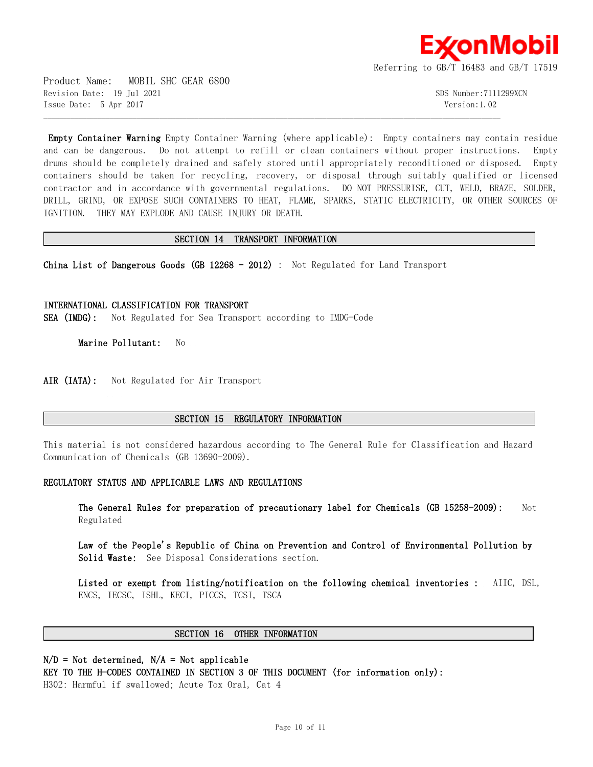

Product Name: MOBIL SHC GEAR 6800 Revision Date: 19 Jul 2021 SDS Number:7111299XCN Issue Date: 5 Apr 2017 Version:1.02

**Empty Container Warning** Empty Container Warning (where applicable): Empty containers may contain residue and can be dangerous. Do not attempt to refill or clean containers without proper instructions. Empty drums should be completely drained and safely stored until appropriately reconditioned or disposed. Empty containers should be taken for recycling, recovery, or disposal through suitably qualified or licensed contractor and in accordance with governmental regulations. DO NOT PRESSURISE, CUT, WELD, BRAZE, SOLDER, DRILL, GRIND, OR EXPOSE SUCH CONTAINERS TO HEAT, FLAME, SPARKS, STATIC ELECTRICITY, OR OTHER SOURCES OF IGNITION. THEY MAY EXPLODE AND CAUSE INJURY OR DEATH.

## **SECTION 14 TRANSPORT INFORMATION**

 $\mathcal{L} = \{ \mathcal{L} = \{ \mathcal{L} = \{ \mathcal{L} = \{ \mathcal{L} = \{ \mathcal{L} = \{ \mathcal{L} = \{ \mathcal{L} = \{ \mathcal{L} = \{ \mathcal{L} = \{ \mathcal{L} = \{ \mathcal{L} = \{ \mathcal{L} = \{ \mathcal{L} = \{ \mathcal{L} = \{ \mathcal{L} = \{ \mathcal{L} = \{ \mathcal{L} = \{ \mathcal{L} = \{ \mathcal{L} = \{ \mathcal{L} = \{ \mathcal{L} = \{ \mathcal{L} = \{ \mathcal{L} = \{ \mathcal{$ 

**China List of Dangerous Goods (GB 12268 - 2012)** : Not Regulated for Land Transport

**INTERNATIONAL CLASSIFICATION FOR TRANSPORT SEA (IMDG):** Not Regulated for Sea Transport according to IMDG-Code

**Marine Pollutant:** No

AIR (IATA): Not Regulated for Air Transport

## **SECTION 15 REGULATORY INFORMATION**

This material is not considered hazardous according to The General Rule for Classification and Hazard Communication of Chemicals (GB 13690-2009).

#### **REGULATORY STATUS AND APPLICABLE LAWS AND REGULATIONS**

**The General Rules for preparation of precautionary label for Chemicals (GB 15258-2009):** Not Regulated

**Law of the People's Republic of China on Prevention and Control of Environmental Pollution by Solid Waste:** See Disposal Considerations section.

**Listed or exempt from listing/notification on the following chemical inventories :** AIIC, DSL, ENCS, IECSC, ISHL, KECI, PICCS, TCSI, TSCA

#### **SECTION 16 OTHER INFORMATION**

# **N/D = Not determined, N/A = Not applicable**

**KEY TO THE H-CODES CONTAINED IN SECTION 3 OF THIS DOCUMENT (for information only):**

H302: Harmful if swallowed; Acute Tox Oral, Cat 4